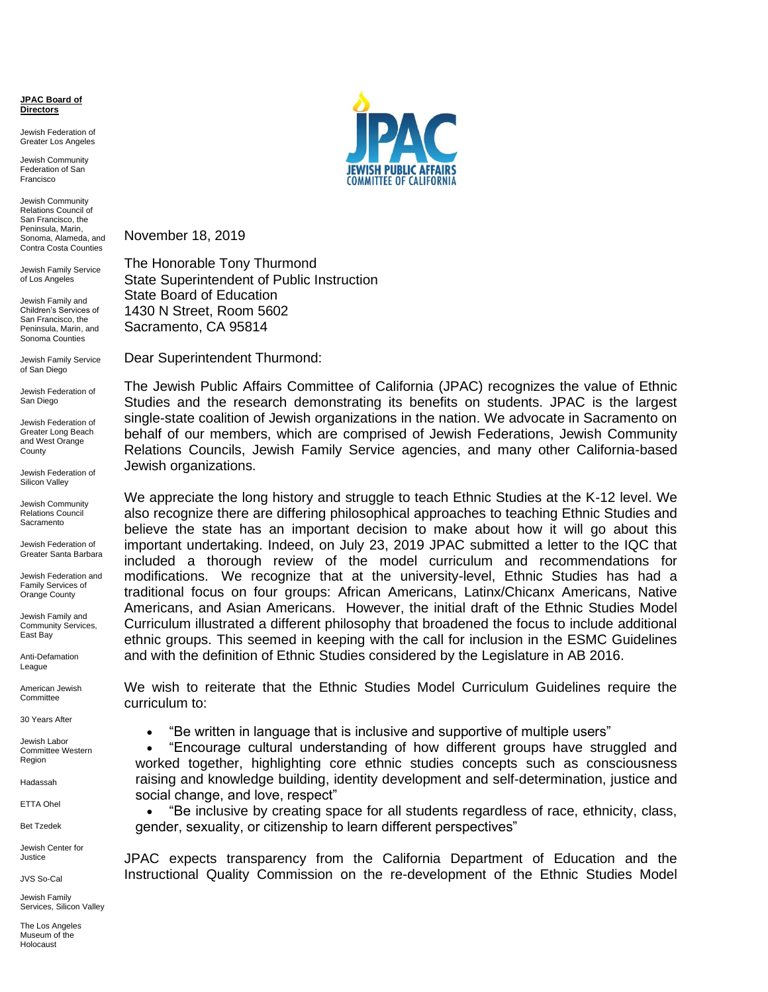**JPAC Board of Directors**

Jewish Federation of Greater Los Angeles

Jewish Community Federation of San Francisco

Jewish Community Relations Council of San Francisco, the Peninsula, Marin, Sonoma, Alameda, and Contra Costa Counties

Jewish Family Service of Los Angeles

Jewish Family and Children's Services of San Francisco, the Peninsula, Marin, and Sonoma Counties

Jewish Family Service of San Diego

Jewish Federation of San Diego

Jewish Federation of Greater Long Beach and West Orange **County** 

Jewish Federation of Silicon Valley

Jewish Community Relations Council **Sacramento** 

Jewish Federation of Greater Santa Barbara

Jewish Federation and Family Services of Orange County

Jewish Family and Community Services, East Bay

Anti-Defamation League

American Jewish **Committee** 

30 Years After

Jewish Labor Committee Western Region

Hadassah

ETTA Ohel

Bet Tzedek

Jewish Center for Justice

JVS So-Cal

Jewish Family Services, Silicon Valley

The Los Angeles Museum of the Holocaust



November 18, 2019

The Honorable Tony Thurmond State Superintendent of Public Instruction State Board of Education 1430 N Street, Room 5602 Sacramento, CA 95814

Dear Superintendent Thurmond:

The Jewish Public Affairs Committee of California (JPAC) recognizes the value of Ethnic Studies and the research demonstrating its benefits on students. JPAC is the largest single-state coalition of Jewish organizations in the nation. We advocate in Sacramento on behalf of our members, which are comprised of Jewish Federations, Jewish Community Relations Councils, Jewish Family Service agencies, and many other California-based Jewish organizations.

We appreciate the long history and struggle to teach Ethnic Studies at the K-12 level. We also recognize there are differing philosophical approaches to teaching Ethnic Studies and believe the state has an important decision to make about how it will go about this important undertaking. Indeed, on July 23, 2019 JPAC submitted a letter to the IQC that included a thorough review of the model curriculum and recommendations for modifications. We recognize that at the university-level, Ethnic Studies has had a traditional focus on four groups: African Americans, Latinx/Chicanx Americans, Native Americans, and Asian Americans. However, the initial draft of the Ethnic Studies Model Curriculum illustrated a different philosophy that broadened the focus to include additional ethnic groups. This seemed in keeping with the call for inclusion in the ESMC Guidelines and with the definition of Ethnic Studies considered by the Legislature in AB 2016.

We wish to reiterate that the Ethnic Studies Model Curriculum Guidelines require the curriculum to:

• "Be written in language that is inclusive and supportive of multiple users"

• "Encourage cultural understanding of how different groups have struggled and worked together, highlighting core ethnic studies concepts such as consciousness raising and knowledge building, identity development and self-determination, justice and social change, and love, respect"

• "Be inclusive by creating space for all students regardless of race, ethnicity, class, gender, sexuality, or citizenship to learn different perspectives"

JPAC expects transparency from the California Department of Education and the Instructional Quality Commission on the re-development of the Ethnic Studies Model